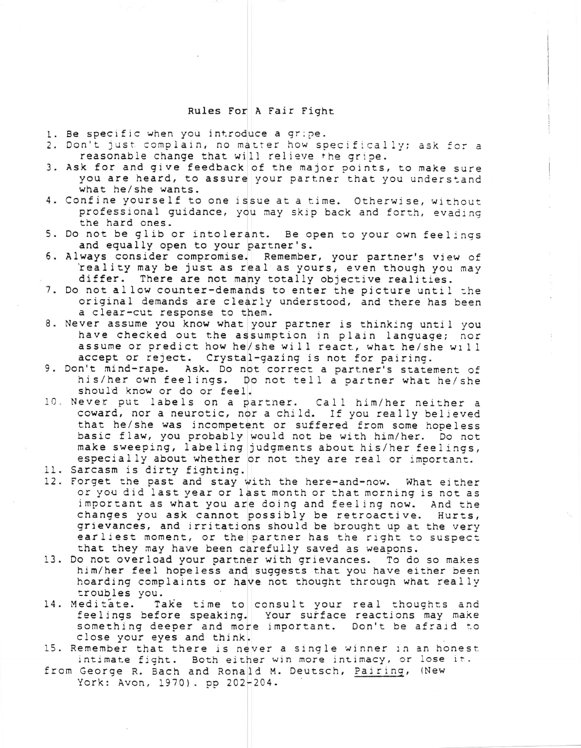## Rules For A Fair Fight

- 1. Be specific when you introduce a gripe.
- 2. Don't just complain, no matter how specifically; ask for a reasonable change that will relieve the gripe.
- 3. Ask for and give feedback of the major points, to make sure you are heard, to assure your partner that you understand what he/she wants.
- 4. Confine yourself to one issue at a time. Otherwise, without professional guidance, you may skip back and forth, evading the hard ones.
- 5. Do not be glib or intolerant. Be open to your own feelings and equally open to your partner's.
- 6. Always consider compromise. Remember, your partner's view of reality may be just as real as yours, even though you may differ. There are not many totally objective realities.
- 7. Do not allow counter-demands to enter the picture until the original demands are clearly understood, and there has been a clear-cut response to them.
- 8. Never assume you know what your partner is thinking until you have checked out the assumption in plain language; nor assume or predict how he/she will react, what he/she will accept or reject. Crystal-gazing is not for pairing.
- 9. Don't mind-rape. Ask. Do not correct a partner's statement of his/her own feelings. Do not tell a partner what he/she should know or do or feel.
- 10. Never put labels on a partner. Call him/her neither a coward, nor a neurotic, nor a child. If you really believed that he/she was incompetent or suffered from some hopeless basic flaw, you probably would not be with him/her. Do not make sweeping, labeling judgments about his/her feelings, especially about whether or not they are real or important.
- 11. Sarcasm is dirty fighting.
- 12. Forget the past and stay with the here-and-now. What either or you did last year or last month or that morning is not as important as what you are doing and feeling now. And the changes you ask cannot possibly be retroactive. Hurts, grievances, and irritations should be brought up at the very earliest moment, or the partner has the right to suspect that they may have been carefully saved as weapons.
- 13. Do not overload your partner with grievances. To do so makes him/her feel hopeless and suggests that you have either been hoarding complaints or have not thought through what really troubles you.
- 14. Meditate. Take time to consult your real thoughts and feelings before speaking. Your surface reactions may make something deeper and more important. Don't be afraid to close your eyes and think.
- 15. Remember that there is never a single winner in an honest intimate fight. Both either win more intimacy, or lose it.
- from George R. Bach and Ronald M. Deutsch, Pairing, (New York: Avon, 1970). pp 202-204.